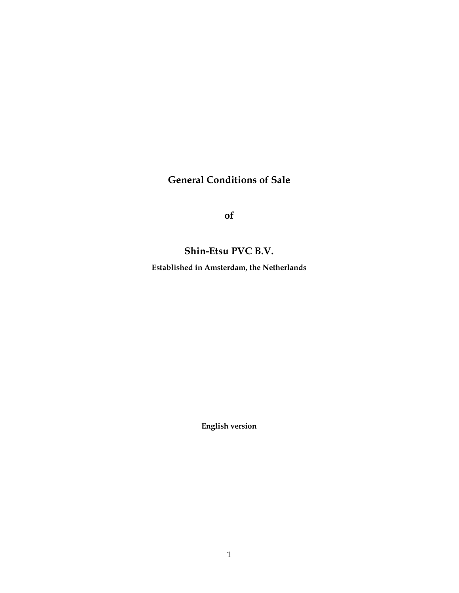# General Conditions of Sale

of

## Shin-Etsu PVC B.V.

Established in Amsterdam, the Netherlands

English version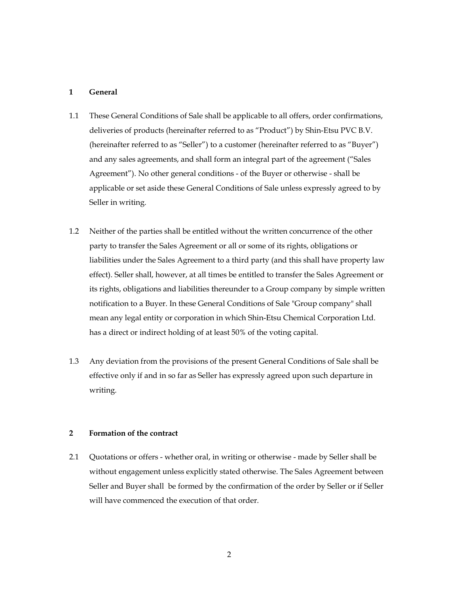## 1 General

- 1.1 These General Conditions of Sale shall be applicable to all offers, order confirmations, deliveries of products (hereinafter referred to as "Product") by Shin-Etsu PVC B.V. (hereinafter referred to as "Seller") to a customer (hereinafter referred to as "Buyer") and any sales agreements, and shall form an integral part of the agreement ("Sales Agreement"). No other general conditions - of the Buyer or otherwise - shall be applicable or set aside these General Conditions of Sale unless expressly agreed to by Seller in writing.
- 1.2 Neither of the parties shall be entitled without the written concurrence of the other party to transfer the Sales Agreement or all or some of its rights, obligations or liabilities under the Sales Agreement to a third party (and this shall have property law effect). Seller shall, however, at all times be entitled to transfer the Sales Agreement or its rights, obligations and liabilities thereunder to a Group company by simple written notification to a Buyer. In these General Conditions of Sale "Group company" shall mean any legal entity or corporation in which Shin-Etsu Chemical Corporation Ltd. has a direct or indirect holding of at least 50% of the voting capital.
- 1.3 Any deviation from the provisions of the present General Conditions of Sale shall be effective only if and in so far as Seller has expressly agreed upon such departure in writing.

## 2 Formation of the contract

2.1 Quotations or offers - whether oral, in writing or otherwise - made by Seller shall be without engagement unless explicitly stated otherwise. The Sales Agreement between Seller and Buyer shall be formed by the confirmation of the order by Seller or if Seller will have commenced the execution of that order.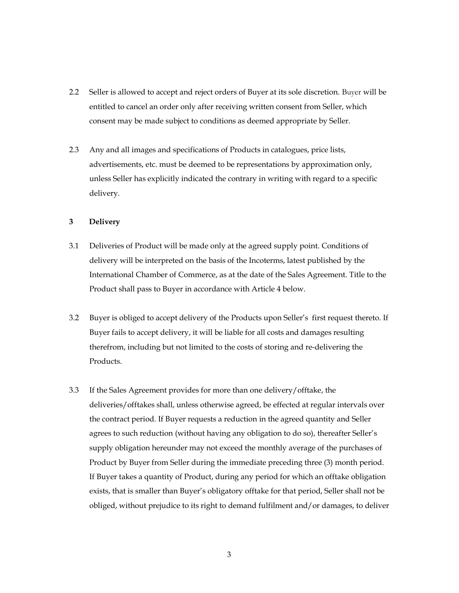- 2.2 Seller is allowed to accept and reject orders of Buyer at its sole discretion. Buyer will be entitled to cancel an order only after receiving written consent from Seller, which consent may be made subject to conditions as deemed appropriate by Seller.
- 2.3 Any and all images and specifications of Products in catalogues, price lists, advertisements, etc. must be deemed to be representations by approximation only, unless Seller has explicitly indicated the contrary in writing with regard to a specific delivery.

## 3 Delivery

- 3.1 Deliveries of Product will be made only at the agreed supply point. Conditions of delivery will be interpreted on the basis of the Incoterms, latest published by the International Chamber of Commerce, as at the date of the Sales Agreement. Title to the Product shall pass to Buyer in accordance with Article 4 below.
- 3.2 Buyer is obliged to accept delivery of the Products upon Seller's first request thereto. If Buyer fails to accept delivery, it will be liable for all costs and damages resulting therefrom, including but not limited to the costs of storing and re-delivering the Products.
- 3.3 If the Sales Agreement provides for more than one delivery/offtake, the deliveries/offtakes shall, unless otherwise agreed, be effected at regular intervals over the contract period. If Buyer requests a reduction in the agreed quantity and Seller agrees to such reduction (without having any obligation to do so), thereafter Seller's supply obligation hereunder may not exceed the monthly average of the purchases of Product by Buyer from Seller during the immediate preceding three (3) month period. If Buyer takes a quantity of Product, during any period for which an offtake obligation exists, that is smaller than Buyer's obligatory offtake for that period, Seller shall not be obliged, without prejudice to its right to demand fulfilment and/or damages, to deliver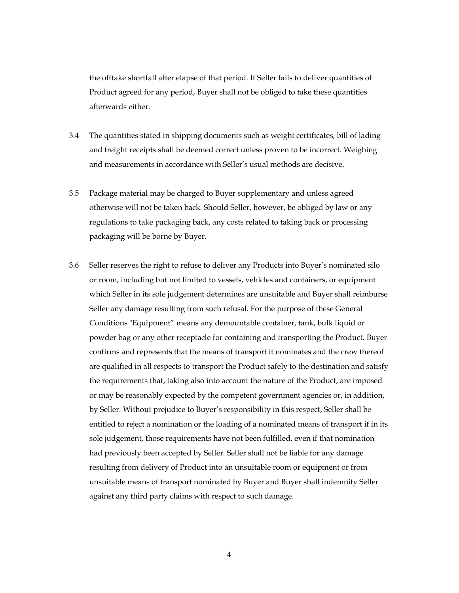the offtake shortfall after elapse of that period. If Seller fails to deliver quantities of Product agreed for any period, Buyer shall not be obliged to take these quantities afterwards either.

- 3.4 The quantities stated in shipping documents such as weight certificates, bill of lading and freight receipts shall be deemed correct unless proven to be incorrect. Weighing and measurements in accordance with Seller's usual methods are decisive.
- 3.5 Package material may be charged to Buyer supplementary and unless agreed otherwise will not be taken back. Should Seller, however, be obliged by law or any regulations to take packaging back, any costs related to taking back or processing packaging will be borne by Buyer.
- 3.6 Seller reserves the right to refuse to deliver any Products into Buyer's nominated silo or room, including but not limited to vessels, vehicles and containers, or equipment which Seller in its sole judgement determines are unsuitable and Buyer shall reimburse Seller any damage resulting from such refusal. For the purpose of these General Conditions "Equipment" means any demountable container, tank, bulk liquid or powder bag or any other receptacle for containing and transporting the Product. Buyer confirms and represents that the means of transport it nominates and the crew thereof are qualified in all respects to transport the Product safely to the destination and satisfy the requirements that, taking also into account the nature of the Product, are imposed or may be reasonably expected by the competent government agencies or, in addition, by Seller. Without prejudice to Buyer's responsibility in this respect, Seller shall be entitled to reject a nomination or the loading of a nominated means of transport if in its sole judgement, those requirements have not been fulfilled, even if that nomination had previously been accepted by Seller. Seller shall not be liable for any damage resulting from delivery of Product into an unsuitable room or equipment or from unsuitable means of transport nominated by Buyer and Buyer shall indemnify Seller against any third party claims with respect to such damage.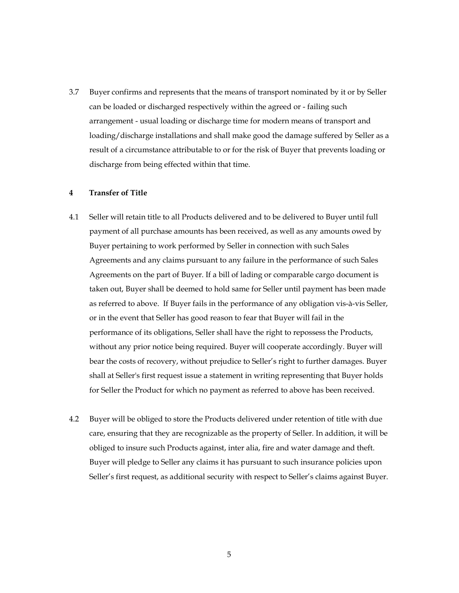3.7 Buyer confirms and represents that the means of transport nominated by it or by Seller can be loaded or discharged respectively within the agreed or - failing such arrangement - usual loading or discharge time for modern means of transport and loading/discharge installations and shall make good the damage suffered by Seller as a result of a circumstance attributable to or for the risk of Buyer that prevents loading or discharge from being effected within that time.

#### 4 Transfer of Title

- 4.1 Seller will retain title to all Products delivered and to be delivered to Buyer until full payment of all purchase amounts has been received, as well as any amounts owed by Buyer pertaining to work performed by Seller in connection with such Sales Agreements and any claims pursuant to any failure in the performance of such Sales Agreements on the part of Buyer. If a bill of lading or comparable cargo document is taken out, Buyer shall be deemed to hold same for Seller until payment has been made as referred to above. If Buyer fails in the performance of any obligation vis-à-vis Seller, or in the event that Seller has good reason to fear that Buyer will fail in the performance of its obligations, Seller shall have the right to repossess the Products, without any prior notice being required. Buyer will cooperate accordingly. Buyer will bear the costs of recovery, without prejudice to Seller's right to further damages. Buyer shall at Seller's first request issue a statement in writing representing that Buyer holds for Seller the Product for which no payment as referred to above has been received.
- 4.2 Buyer will be obliged to store the Products delivered under retention of title with due care, ensuring that they are recognizable as the property of Seller. In addition, it will be obliged to insure such Products against, inter alia, fire and water damage and theft. Buyer will pledge to Seller any claims it has pursuant to such insurance policies upon Seller's first request, as additional security with respect to Seller's claims against Buyer.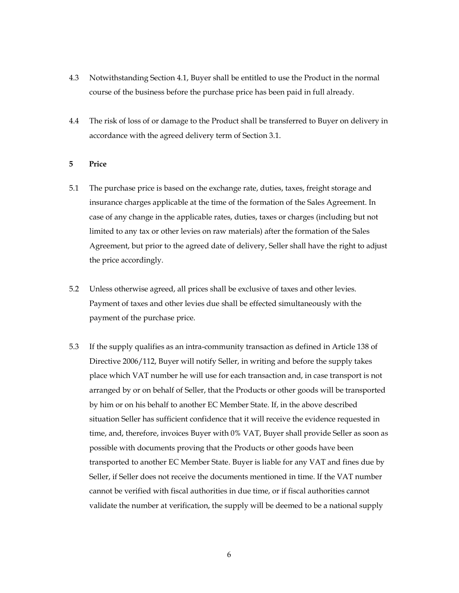- 4.3 Notwithstanding Section 4.1, Buyer shall be entitled to use the Product in the normal course of the business before the purchase price has been paid in full already.
- 4.4 The risk of loss of or damage to the Product shall be transferred to Buyer on delivery in accordance with the agreed delivery term of Section 3.1.

#### 5 Price

- 5.1 The purchase price is based on the exchange rate, duties, taxes, freight storage and insurance charges applicable at the time of the formation of the Sales Agreement. In case of any change in the applicable rates, duties, taxes or charges (including but not limited to any tax or other levies on raw materials) after the formation of the Sales Agreement, but prior to the agreed date of delivery, Seller shall have the right to adjust the price accordingly.
- 5.2 Unless otherwise agreed, all prices shall be exclusive of taxes and other levies. Payment of taxes and other levies due shall be effected simultaneously with the payment of the purchase price.
- 5.3 If the supply qualifies as an intra-community transaction as defined in Article 138 of Directive 2006/112, Buyer will notify Seller, in writing and before the supply takes place which VAT number he will use for each transaction and, in case transport is not arranged by or on behalf of Seller, that the Products or other goods will be transported by him or on his behalf to another EC Member State. If, in the above described situation Seller has sufficient confidence that it will receive the evidence requested in time, and, therefore, invoices Buyer with 0% VAT, Buyer shall provide Seller as soon as possible with documents proving that the Products or other goods have been transported to another EC Member State. Buyer is liable for any VAT and fines due by Seller, if Seller does not receive the documents mentioned in time. If the VAT number cannot be verified with fiscal authorities in due time, or if fiscal authorities cannot validate the number at verification, the supply will be deemed to be a national supply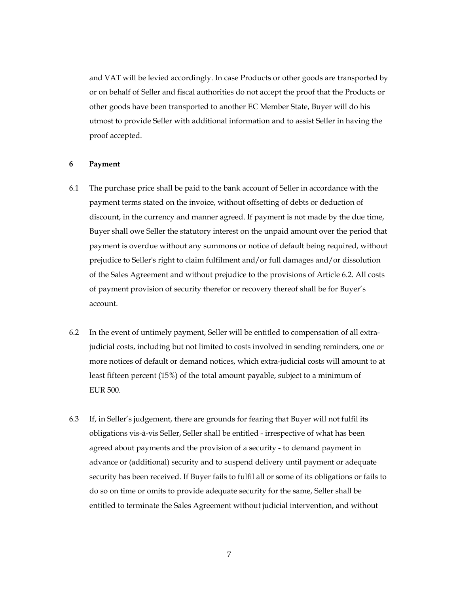and VAT will be levied accordingly. In case Products or other goods are transported by or on behalf of Seller and fiscal authorities do not accept the proof that the Products or other goods have been transported to another EC Member State, Buyer will do his utmost to provide Seller with additional information and to assist Seller in having the proof accepted.

#### 6 Payment

- 6.1 The purchase price shall be paid to the bank account of Seller in accordance with the payment terms stated on the invoice, without offsetting of debts or deduction of discount, in the currency and manner agreed. If payment is not made by the due time, Buyer shall owe Seller the statutory interest on the unpaid amount over the period that payment is overdue without any summons or notice of default being required, without prejudice to Seller's right to claim fulfilment and/or full damages and/or dissolution of the Sales Agreement and without prejudice to the provisions of Article 6.2. All costs of payment provision of security therefor or recovery thereof shall be for Buyer's account.
- 6.2 In the event of untimely payment, Seller will be entitled to compensation of all extrajudicial costs, including but not limited to costs involved in sending reminders, one or more notices of default or demand notices, which extra-judicial costs will amount to at least fifteen percent (15%) of the total amount payable, subject to a minimum of EUR 500.
- 6.3 If, in Seller's judgement, there are grounds for fearing that Buyer will not fulfil its obligations vis-à-vis Seller, Seller shall be entitled - irrespective of what has been agreed about payments and the provision of a security - to demand payment in advance or (additional) security and to suspend delivery until payment or adequate security has been received. If Buyer fails to fulfil all or some of its obligations or fails to do so on time or omits to provide adequate security for the same, Seller shall be entitled to terminate the Sales Agreement without judicial intervention, and without

7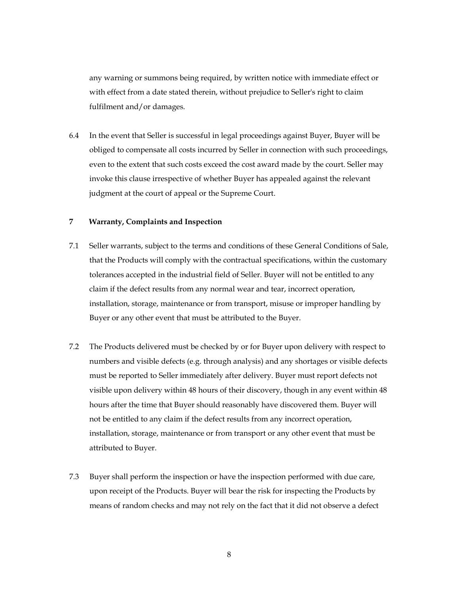any warning or summons being required, by written notice with immediate effect or with effect from a date stated therein, without prejudice to Seller's right to claim fulfilment and/or damages.

6.4 In the event that Seller is successful in legal proceedings against Buyer, Buyer will be obliged to compensate all costs incurred by Seller in connection with such proceedings, even to the extent that such costs exceed the cost award made by the court. Seller may invoke this clause irrespective of whether Buyer has appealed against the relevant judgment at the court of appeal or the Supreme Court.

## 7 Warranty, Complaints and Inspection

- 7.1 Seller warrants, subject to the terms and conditions of these General Conditions of Sale, that the Products will comply with the contractual specifications, within the customary tolerances accepted in the industrial field of Seller. Buyer will not be entitled to any claim if the defect results from any normal wear and tear, incorrect operation, installation, storage, maintenance or from transport, misuse or improper handling by Buyer or any other event that must be attributed to the Buyer.
- 7.2 The Products delivered must be checked by or for Buyer upon delivery with respect to numbers and visible defects (e.g. through analysis) and any shortages or visible defects must be reported to Seller immediately after delivery. Buyer must report defects not visible upon delivery within 48 hours of their discovery, though in any event within 48 hours after the time that Buyer should reasonably have discovered them. Buyer will not be entitled to any claim if the defect results from any incorrect operation, installation, storage, maintenance or from transport or any other event that must be attributed to Buyer.
- 7.3 Buyer shall perform the inspection or have the inspection performed with due care, upon receipt of the Products. Buyer will bear the risk for inspecting the Products by means of random checks and may not rely on the fact that it did not observe a defect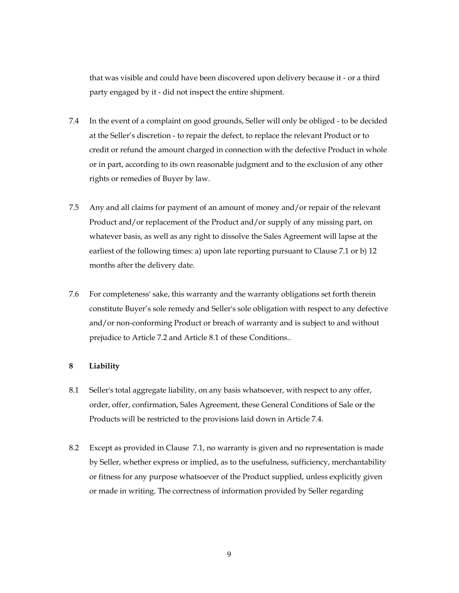that was visible and could have been discovered upon delivery because it - or a third party engaged by it - did not inspect the entire shipment.

- 7.4 In the event of a complaint on good grounds, Seller will only be obliged to be decided at the Seller's discretion - to repair the defect, to replace the relevant Product or to credit or refund the amount charged in connection with the defective Product in whole or in part, according to its own reasonable judgment and to the exclusion of any other rights or remedies of Buyer by law.
- 7.5 Any and all claims for payment of an amount of money and/or repair of the relevant Product and/or replacement of the Product and/or supply of any missing part, on whatever basis, as well as any right to dissolve the Sales Agreement will lapse at the earliest of the following times: a) upon late reporting pursuant to Clause 7.1 or b) 12 months after the delivery date.
- 7.6 For completeness' sake, this warranty and the warranty obligations set forth therein constitute Buyer's sole remedy and Seller's sole obligation with respect to any defective and/or non-conforming Product or breach of warranty and is subject to and without prejudice to Article 7.2 and Article 8.1 of these Conditions..

#### 8 Liability

- 8.1 Seller's total aggregate liability, on any basis whatsoever, with respect to any offer, order, offer, confirmation, Sales Agreement, these General Conditions of Sale or the Products will be restricted to the provisions laid down in Article 7.4.
- 8.2 Except as provided in Clause 7.1, no warranty is given and no representation is made by Seller, whether express or implied, as to the usefulness, sufficiency, merchantability or fitness for any purpose whatsoever of the Product supplied, unless explicitly given or made in writing. The correctness of information provided by Seller regarding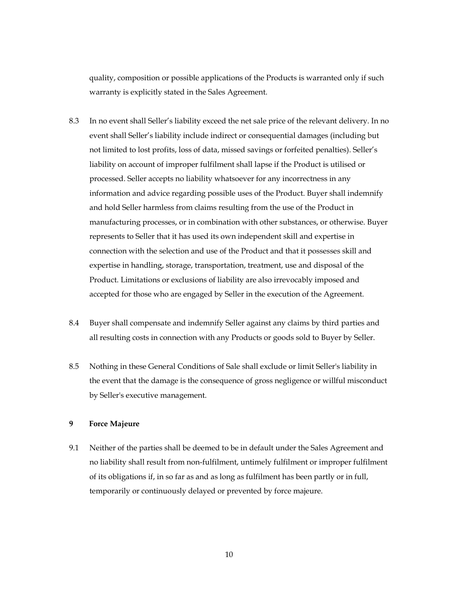quality, composition or possible applications of the Products is warranted only if such warranty is explicitly stated in the Sales Agreement.

- 8.3 In no event shall Seller's liability exceed the net sale price of the relevant delivery. In no event shall Seller's liability include indirect or consequential damages (including but not limited to lost profits, loss of data, missed savings or forfeited penalties). Seller's liability on account of improper fulfilment shall lapse if the Product is utilised or processed. Seller accepts no liability whatsoever for any incorrectness in any information and advice regarding possible uses of the Product. Buyer shall indemnify and hold Seller harmless from claims resulting from the use of the Product in manufacturing processes, or in combination with other substances, or otherwise. Buyer represents to Seller that it has used its own independent skill and expertise in connection with the selection and use of the Product and that it possesses skill and expertise in handling, storage, transportation, treatment, use and disposal of the Product. Limitations or exclusions of liability are also irrevocably imposed and accepted for those who are engaged by Seller in the execution of the Agreement.
- 8.4 Buyer shall compensate and indemnify Seller against any claims by third parties and all resulting costs in connection with any Products or goods sold to Buyer by Seller.
- 8.5 Nothing in these General Conditions of Sale shall exclude or limit Seller's liability in the event that the damage is the consequence of gross negligence or willful misconduct by Seller's executive management.

## 9 Force Majeure

9.1 Neither of the parties shall be deemed to be in default under the Sales Agreement and no liability shall result from non-fulfilment, untimely fulfilment or improper fulfilment of its obligations if, in so far as and as long as fulfilment has been partly or in full, temporarily or continuously delayed or prevented by force majeure.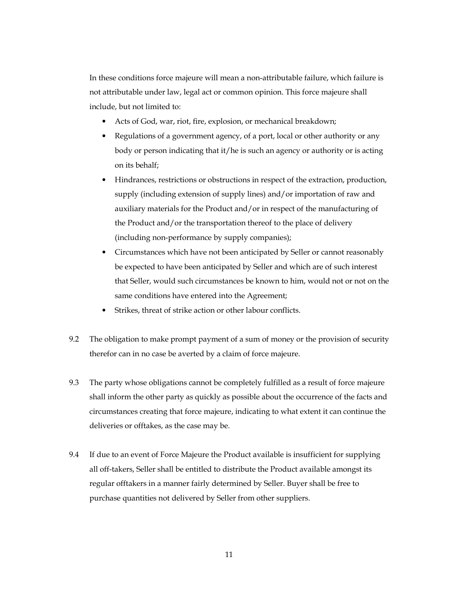In these conditions force majeure will mean a non-attributable failure, which failure is not attributable under law, legal act or common opinion. This force majeure shall include, but not limited to:

- Acts of God, war, riot, fire, explosion, or mechanical breakdown;
- Regulations of a government agency, of a port, local or other authority or any body or person indicating that it/he is such an agency or authority or is acting on its behalf;
- Hindrances, restrictions or obstructions in respect of the extraction, production, supply (including extension of supply lines) and/or importation of raw and auxiliary materials for the Product and/or in respect of the manufacturing of the Product and/or the transportation thereof to the place of delivery (including non-performance by supply companies);
- Circumstances which have not been anticipated by Seller or cannot reasonably be expected to have been anticipated by Seller and which are of such interest that Seller, would such circumstances be known to him, would not or not on the same conditions have entered into the Agreement;
- Strikes, threat of strike action or other labour conflicts.
- 9.2 The obligation to make prompt payment of a sum of money or the provision of security therefor can in no case be averted by a claim of force majeure.
- 9.3 The party whose obligations cannot be completely fulfilled as a result of force majeure shall inform the other party as quickly as possible about the occurrence of the facts and circumstances creating that force majeure, indicating to what extent it can continue the deliveries or offtakes, as the case may be.
- 9.4 If due to an event of Force Majeure the Product available is insufficient for supplying all off-takers, Seller shall be entitled to distribute the Product available amongst its regular offtakers in a manner fairly determined by Seller. Buyer shall be free to purchase quantities not delivered by Seller from other suppliers.